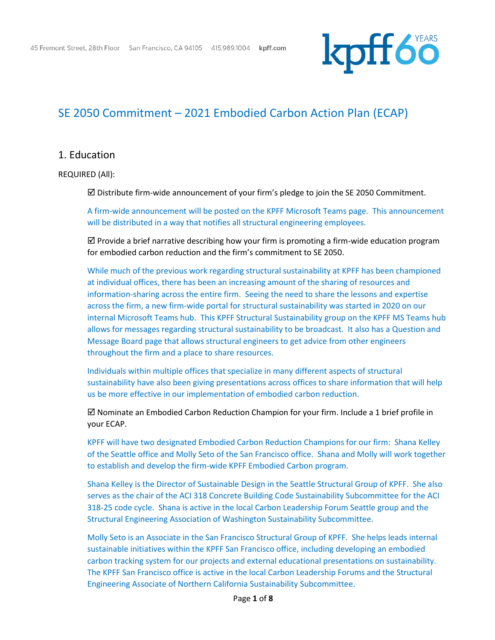

## SE 2050 Commitment – 2021 Embodied Carbon Action Plan (ECAP)

### 1. Education

REQUIRED (All):

 $\boxtimes$  Distribute firm-wide announcement of your firm's pledge to join the SE 2050 Commitment.

A firm-wide announcement will be posted on the KPFF Microsoft Teams page. This announcement will be distributed in a way that notifies all structural engineering employees.

 $\boxtimes$  Provide a brief narrative describing how your firm is promoting a firm-wide education program for embodied carbon reduction and the firm's commitment to SE 2050.

While much of the previous work regarding structural sustainability at KPFF has been championed at individual offices, there has been an increasing amount of the sharing of resources and information-sharing across the entire firm. Seeing the need to share the lessons and expertise across the firm, a new firm-wide portal for structural sustainability was started in 2020 on our internal Microsoft Teams hub. This KPFF Structural Sustainability group on the KPFF MS Teams hub allows for messages regarding structural sustainability to be broadcast. It also has a Question and Message Board page that allows structural engineers to get advice from other engineers throughout the firm and a place to share resources.

Individuals within multiple offices that specialize in many different aspects of structural sustainability have also been giving presentations across offices to share information that will help us be more effective in our implementation of embodied carbon reduction.

 $\boxtimes$  Nominate an Embodied Carbon Reduction Champion for your firm. Include a 1 brief profile in your ECAP.

KPFF will have two designated Embodied Carbon Reduction Champions for our firm: Shana Kelley of the Seattle office and Molly Seto of the San Francisco office. Shana and Molly will work together to establish and develop the firm-wide KPFF Embodied Carbon program.

Shana Kelley is the Director of Sustainable Design in the Seattle Structural Group of KPFF. She also serves as the chair of the ACI 318 Concrete Building Code Sustainability Subcommittee for the ACI 318-25 code cycle. Shana is active in the local Carbon Leadership Forum Seattle group and the Structural Engineering Association of Washington Sustainability Subcommittee.

Molly Seto is an Associate in the San Francisco Structural Group of KPFF. She helps leads internal sustainable initiatives within the KPFF San Francisco office, including developing an embodied carbon tracking system for our projects and external educational presentations on sustainability. The KPFF San Francisco office is active in the local Carbon Leadership Forums and the Structural Engineering Associate of Northern California Sustainability Subcommittee.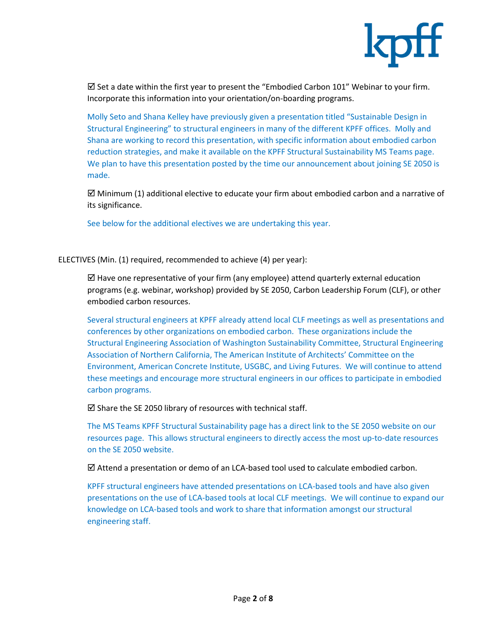

 $\boxtimes$  Set a date within the first year to present the "Embodied Carbon 101" Webinar to your firm. Incorporate this information into your orientation/on-boarding programs.

Molly Seto and Shana Kelley have previously given a presentation titled "Sustainable Design in Structural Engineering" to structural engineers in many of the different KPFF offices. Molly and Shana are working to record this presentation, with specific information about embodied carbon reduction strategies, and make it available on the KPFF Structural Sustainability MS Teams page. We plan to have this presentation posted by the time our announcement about joining SE 2050 is made.

 $\boxtimes$  Minimum (1) additional elective to educate your firm about embodied carbon and a narrative of its significance.

See below for the additional electives we are undertaking this year.

ELECTIVES (Min. (1) required, recommended to achieve (4) per year):

 $\boxtimes$  Have one representative of your firm (any employee) attend quarterly external education programs (e.g. webinar, workshop) provided by SE 2050, Carbon Leadership Forum (CLF), or other embodied carbon resources.

Several structural engineers at KPFF already attend local CLF meetings as well as presentations and conferences by other organizations on embodied carbon. These organizations include the Structural Engineering Association of Washington Sustainability Committee, Structural Engineering Association of Northern California, The American Institute of Architects' Committee on the Environment, American Concrete Institute, USGBC, and Living Futures. We will continue to attend these meetings and encourage more structural engineers in our offices to participate in embodied carbon programs.

 $\boxtimes$  Share the SE 2050 library of resources with technical staff.

The MS Teams KPFF Structural Sustainability page has a direct link to the SE 2050 website on our resources page. This allows structural engineers to directly access the most up-to-date resources on the SE 2050 website.

 $\boxtimes$  Attend a presentation or demo of an LCA-based tool used to calculate embodied carbon.

KPFF structural engineers have attended presentations on LCA-based tools and have also given presentations on the use of LCA-based tools at local CLF meetings. We will continue to expand our knowledge on LCA-based tools and work to share that information amongst our structural engineering staff.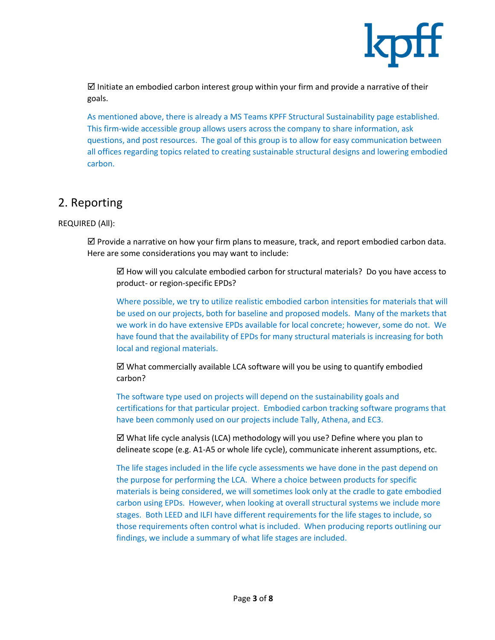

 $\boxtimes$  Initiate an embodied carbon interest group within your firm and provide a narrative of their goals.

As mentioned above, there is already a MS Teams KPFF Structural Sustainability page established. This firm-wide accessible group allows users across the company to share information, ask questions, and post resources. The goal of this group is to allow for easy communication between all offices regarding topics related to creating sustainable structural designs and lowering embodied carbon.

## 2. Reporting

#### REQUIRED (All):

 $\boxtimes$  Provide a narrative on how your firm plans to measure, track, and report embodied carbon data. Here are some considerations you may want to include:

 $\boxtimes$  How will you calculate embodied carbon for structural materials? Do you have access to product- or region-specific EPDs?

Where possible, we try to utilize realistic embodied carbon intensities for materials that will be used on our projects, both for baseline and proposed models. Many of the markets that we work in do have extensive EPDs available for local concrete; however, some do not. We have found that the availability of EPDs for many structural materials is increasing for both local and regional materials.

 $\boxtimes$  What commercially available LCA software will you be using to quantify embodied carbon?

The software type used on projects will depend on the sustainability goals and certifications for that particular project. Embodied carbon tracking software programs that have been commonly used on our projects include Tally, Athena, and EC3.

 What life cycle analysis (LCA) methodology will you use? Define where you plan to delineate scope (e.g. A1-A5 or whole life cycle), communicate inherent assumptions, etc.

The life stages included in the life cycle assessments we have done in the past depend on the purpose for performing the LCA. Where a choice between products for specific materials is being considered, we will sometimes look only at the cradle to gate embodied carbon using EPDs. However, when looking at overall structural systems we include more stages. Both LEED and ILFI have different requirements for the life stages to include, so those requirements often control what is included. When producing reports outlining our findings, we include a summary of what life stages are included.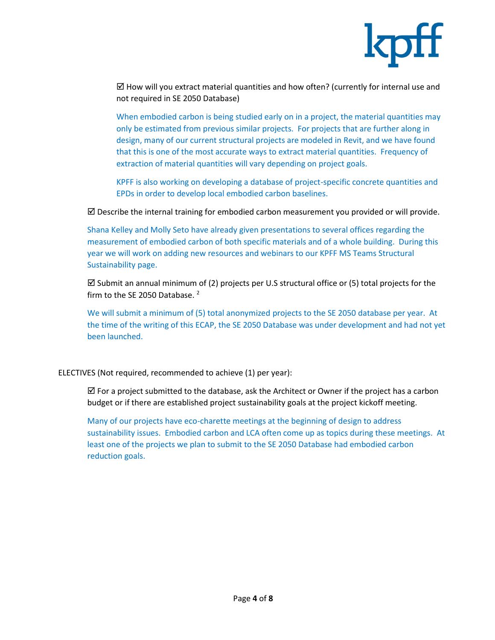

 $\boxtimes$  How will you extract material quantities and how often? (currently for internal use and not required in SE 2050 Database)

When embodied carbon is being studied early on in a project, the material quantities may only be estimated from previous similar projects. For projects that are further along in design, many of our current structural projects are modeled in Revit, and we have found that this is one of the most accurate ways to extract material quantities. Frequency of extraction of material quantities will vary depending on project goals.

KPFF is also working on developing a database of project-specific concrete quantities and EPDs in order to develop local embodied carbon baselines.

 $\boxtimes$  Describe the internal training for embodied carbon measurement you provided or will provide.

Shana Kelley and Molly Seto have already given presentations to several offices regarding the measurement of embodied carbon of both specific materials and of a whole building. During this year we will work on adding new resources and webinars to our KPFF MS Teams Structural Sustainability page.

 $\boxtimes$  Submit an annual minimum of (2) projects per U.S structural office or (5) total projects for the firm to the SE 2050 Database.<sup>2</sup>

We will submit a minimum of (5) total anonymized projects to the SE 2050 database per year. At the time of the writing of this ECAP, the SE 2050 Database was under development and had not yet been launched.

ELECTIVES (Not required, recommended to achieve (1) per year):

 $\boxtimes$  For a project submitted to the database, ask the Architect or Owner if the project has a carbon budget or if there are established project sustainability goals at the project kickoff meeting.

Many of our projects have eco-charette meetings at the beginning of design to address sustainability issues. Embodied carbon and LCA often come up as topics during these meetings. At least one of the projects we plan to submit to the SE 2050 Database had embodied carbon reduction goals.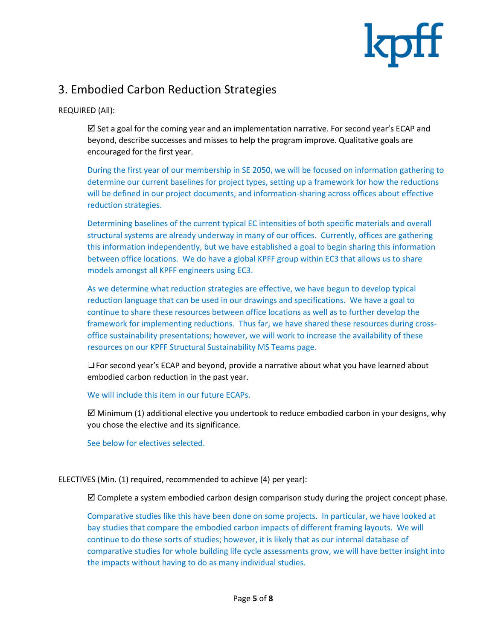

# 3. Embodied Carbon Reduction Strategies

REQUIRED (All):

 $\boxtimes$  Set a goal for the coming year and an implementation narrative. For second year's ECAP and beyond, describe successes and misses to help the program improve. Qualitative goals are encouraged for the first year.

During the first year of our membership in SE 2050, we will be focused on information gathering to determine our current baselines for project types, setting up a framework for how the reductions will be defined in our project documents, and information-sharing across offices about effective reduction strategies.

Determining baselines of the current typical EC intensities of both specific materials and overall structural systems are already underway in many of our offices. Currently, offices are gathering this information independently, but we have established a goal to begin sharing this information between office locations. We do have a global KPFF group within EC3 that allows us to share models amongst all KPFF engineers using EC3.

As we determine what reduction strategies are effective, we have begun to develop typical reduction language that can be used in our drawings and specifications. We have a goal to continue to share these resources between office locations as well as to further develop the framework for implementing reductions. Thus far, we have shared these resources during crossoffice sustainability presentations; however, we will work to increase the availability of these resources on our KPFF Structural Sustainability MS Teams page.

❏For second year's ECAP and beyond, provide a narrative about what you have learned about embodied carbon reduction in the past year.

We will include this item in our future ECAPs.

 $\boxtimes$  Minimum (1) additional elective you undertook to reduce embodied carbon in your designs, why you chose the elective and its significance.

See below for electives selected.

ELECTIVES (Min. (1) required, recommended to achieve (4) per year):

 $\boxtimes$  Complete a system embodied carbon design comparison study during the project concept phase.

Comparative studies like this have been done on some projects. In particular, we have looked at bay studies that compare the embodied carbon impacts of different framing layouts. We will continue to do these sorts of studies; however, it is likely that as our internal database of comparative studies for whole building life cycle assessments grow, we will have better insight into the impacts without having to do as many individual studies.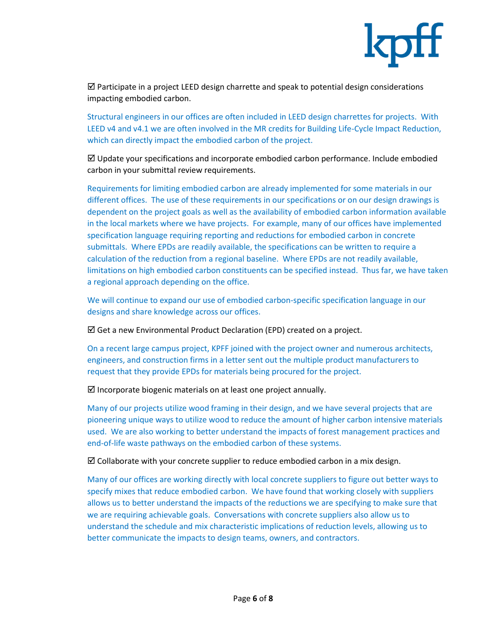

 $\boxtimes$  Participate in a project LEED design charrette and speak to potential design considerations impacting embodied carbon.

Structural engineers in our offices are often included in LEED design charrettes for projects. With LEED v4 and v4.1 we are often involved in the MR credits for Building Life-Cycle Impact Reduction, which can directly impact the embodied carbon of the project.

 $\boxtimes$  Update your specifications and incorporate embodied carbon performance. Include embodied carbon in your submittal review requirements.

Requirements for limiting embodied carbon are already implemented for some materials in our different offices. The use of these requirements in our specifications or on our design drawings is dependent on the project goals as well as the availability of embodied carbon information available in the local markets where we have projects. For example, many of our offices have implemented specification language requiring reporting and reductions for embodied carbon in concrete submittals. Where EPDs are readily available, the specifications can be written to require a calculation of the reduction from a regional baseline. Where EPDs are not readily available, limitations on high embodied carbon constituents can be specified instead. Thus far, we have taken a regional approach depending on the office.

We will continue to expand our use of embodied carbon-specific specification language in our designs and share knowledge across our offices.

 $\boxtimes$  Get a new Environmental Product Declaration (EPD) created on a project.

On a recent large campus project, KPFF joined with the project owner and numerous architects, engineers, and construction firms in a letter sent out the multiple product manufacturers to request that they provide EPDs for materials being procured for the project.

 $\boxtimes$  Incorporate biogenic materials on at least one project annually.

Many of our projects utilize wood framing in their design, and we have several projects that are pioneering unique ways to utilize wood to reduce the amount of higher carbon intensive materials used. We are also working to better understand the impacts of forest management practices and end-of-life waste pathways on the embodied carbon of these systems.

 $\boxtimes$  Collaborate with your concrete supplier to reduce embodied carbon in a mix design.

Many of our offices are working directly with local concrete suppliers to figure out better ways to specify mixes that reduce embodied carbon. We have found that working closely with suppliers allows us to better understand the impacts of the reductions we are specifying to make sure that we are requiring achievable goals. Conversations with concrete suppliers also allow us to understand the schedule and mix characteristic implications of reduction levels, allowing us to better communicate the impacts to design teams, owners, and contractors.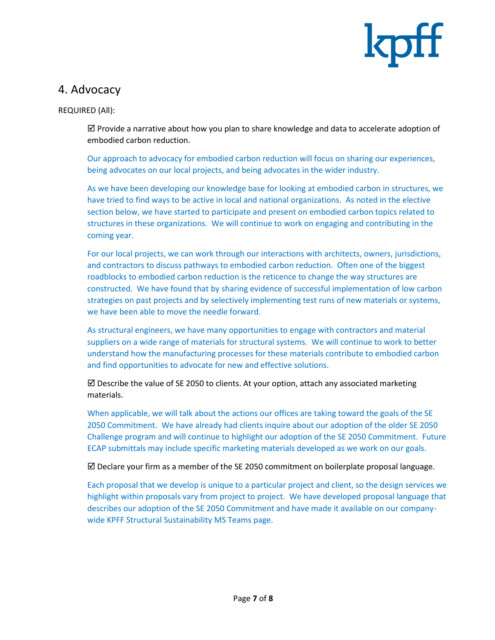

### 4. Advocacy

REQUIRED (All):

 $\boxtimes$  Provide a narrative about how you plan to share knowledge and data to accelerate adoption of embodied carbon reduction.

Our approach to advocacy for embodied carbon reduction will focus on sharing our experiences, being advocates on our local projects, and being advocates in the wider industry.

As we have been developing our knowledge base for looking at embodied carbon in structures, we have tried to find ways to be active in local and national organizations. As noted in the elective section below, we have started to participate and present on embodied carbon topics related to structures in these organizations. We will continue to work on engaging and contributing in the coming year.

For our local projects, we can work through our interactions with architects, owners, jurisdictions, and contractors to discuss pathways to embodied carbon reduction. Often one of the biggest roadblocks to embodied carbon reduction is the reticence to change the way structures are constructed. We have found that by sharing evidence of successful implementation of low carbon strategies on past projects and by selectively implementing test runs of new materials or systems, we have been able to move the needle forward.

As structural engineers, we have many opportunities to engage with contractors and material suppliers on a wide range of materials for structural systems. We will continue to work to better understand how the manufacturing processes for these materials contribute to embodied carbon and find opportunities to advocate for new and effective solutions.

 $\boxtimes$  Describe the value of SE 2050 to clients. At your option, attach any associated marketing materials.

When applicable, we will talk about the actions our offices are taking toward the goals of the SE 2050 Commitment. We have already had clients inquire about our adoption of the older SE 2050 Challenge program and will continue to highlight our adoption of the SE 2050 Commitment. Future ECAP submittals may include specific marketing materials developed as we work on our goals.

 $\boxtimes$  Declare your firm as a member of the SE 2050 commitment on boilerplate proposal language.

Each proposal that we develop is unique to a particular project and client, so the design services we highlight within proposals vary from project to project. We have developed proposal language that describes our adoption of the SE 2050 Commitment and have made it available on our companywide KPFF Structural Sustainability MS Teams page.